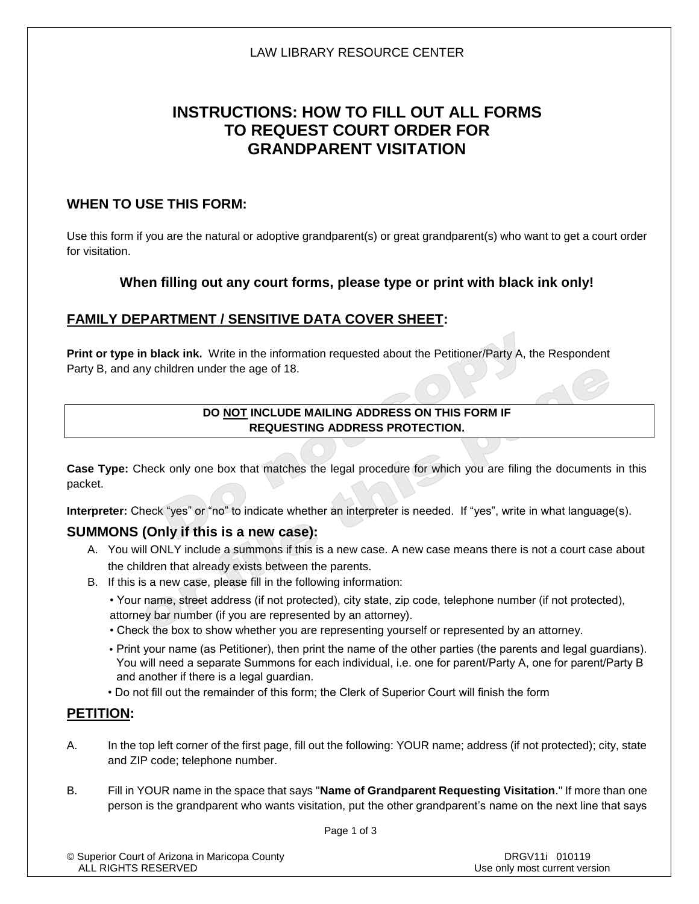# **INSTRUCTIONS: HOW TO FILL OUT ALL FORMS TO REQUEST COURT ORDER FOR GRANDPARENT VISITATION**

### **WHEN TO USE THIS FORM:**

Use this form if you are the natural or adoptive grandparent(s) or great grandparent(s) who want to get a court order for visitation.

## **When filling out any court forms, please type or print with black ink only!**

## **FAMILY DEPARTMENT / SENSITIVE DATA COVER SHEET:**

**Print or type in black ink.** Write in the information requested about the Petitioner/Party A, the Respondent Party B, and any children under the age of 18.

#### **DO NOT INCLUDE MAILING ADDRESS ON THIS FORM IF REQUESTING ADDRESS PROTECTION.**

**Case Type:** Check only one box that matches the legal procedure for which you are filing the documents in this packet.

**Interpreter:** Check "yes" or "no" to indicate whether an interpreter is needed. If "yes", write in what language(s).

## **SUMMONS (Only if this is a new case):**

- A. You will ONLY include a summons if this is a new case. A new case means there is not a court case about the children that already exists between the parents.
- B. If this is a new case, please fill in the following information:
	- Your name, street address (if not protected), city state, zip code, telephone number (if not protected), attorney bar number (if you are represented by an attorney).
	- Check the box to show whether you are representing yourself or represented by an attorney.
	- Print your name (as Petitioner), then print the name of the other parties (the parents and legal guardians). You will need a separate Summons for each individual, i.e. one for parent/Party A, one for parent/Party B and another if there is a legal guardian.
	- Do not fill out the remainder of this form; the Clerk of Superior Court will finish the form

### **PETITION:**

- A. In the top left corner of the first page, fill out the following: YOUR name; address (if not protected); city, state and ZIP code; telephone number.
- B. Fill in YOUR name in the space that says "**Name of Grandparent Requesting Visitation**." If more than one person is the grandparent who wants visitation, put the other grandparent's name on the next line that says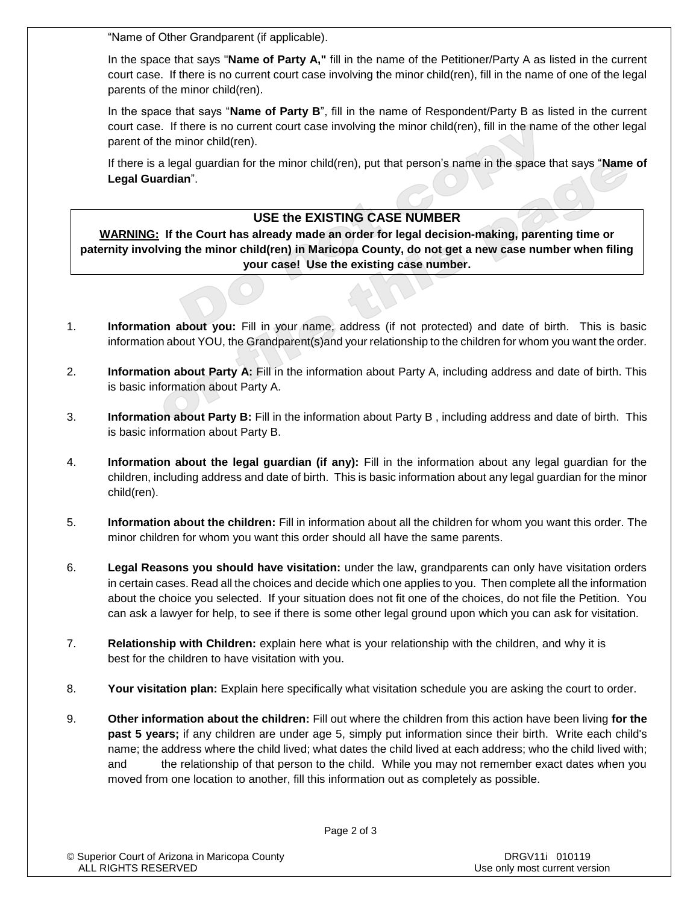"Name of Other Grandparent (if applicable).

In the space that says "**Name of Party A,"** fill in the name of the Petitioner/Party A as listed in the current court case. If there is no current court case involving the minor child(ren), fill in the name of one of the legal parents of the minor child(ren).

In the space that says "**Name of Party B**", fill in the name of Respondent/Party B as listed in the current court case. If there is no current court case involving the minor child(ren), fill in the name of the other legal parent of the minor child(ren).

If there is a legal guardian for the minor child(ren), put that person's name in the space that says "**Name of Legal Guardian**".

#### **USE the EXISTING CASE NUMBER**

**WARNING: If the Court has already made an order for legal decision-making, parenting time or paternity involving the minor child(ren) in Maricopa County, do not get a new case number when filing your case! Use the existing case number.** 

- 1. **Information about you:** Fill in your name, address (if not protected) and date of birth. This is basic information about YOU, the Grandparent(s)and your relationship to the children for whom you want the order.
- 2. **Information about Party A:** Fill in the information about Party A, including address and date of birth. This is basic information about Party A.
- 3. **Information about Party B:** Fill in the information about Party B , including address and date of birth. This is basic information about Party B.
- 4. **Information about the legal guardian (if any):** Fill in the information about any legal guardian for the children, including address and date of birth. This is basic information about any legal guardian for the minor child(ren).
- 5. **Information about the children:** Fill in information about all the children for whom you want this order. The minor children for whom you want this order should all have the same parents.
- 6. **Legal Reasons you should have visitation:** under the law, grandparents can only have visitation orders in certain cases. Read all the choices and decide which one applies to you. Then complete all the information about the choice you selected. If your situation does not fit one of the choices, do not file the Petition. You can ask a lawyer for help, to see if there is some other legal ground upon which you can ask for visitation.
- 7. **Relationship with Children:** explain here what is your relationship with the children, and why it is best for the children to have visitation with you.
- 8. **Your visitation plan:** Explain here specifically what visitation schedule you are asking the court to order.
- 9. **Other information about the children:** Fill out where the children from this action have been living **for the past 5 years;** if any children are under age 5, simply put information since their birth. Write each child's name; the address where the child lived; what dates the child lived at each address; who the child lived with; and the relationship of that person to the child. While you may not remember exact dates when you moved from one location to another, fill this information out as completely as possible.